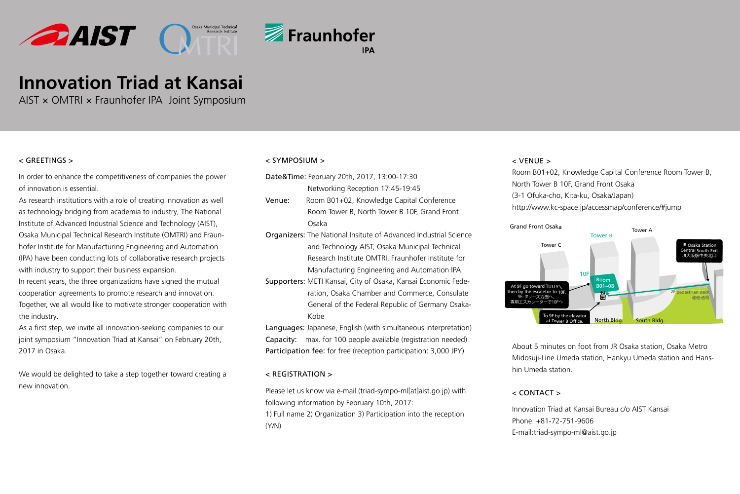



# **Innovation Triad at Kansai**

AIST × OMTRI × Fraunhofer IPA Joint Symposium

### < GREETINGS >

In order to enhance the competitiveness of companies the power of innovation is essential.

As research institutions with a role of creating innovation as well as technology bridging from academia to industry, The National Institute of Advanced Industrial Science and Technology (AIST), Osaka Municipal Technical Research Institute (OMTRI) and Fraunhofer Institute for Manufacturing Engineering and Automation (IPA) have been conducting lots of collaborative research projects with industry to support their business expansion.

In recent years, the three organizations have signed the mutual cooperation agreements to promote research and innovation. Together, we all would like to motivate stronger cooperation with the industry.

As a first step, we invite all innovation-seeking companies to our joint symposium "Innovation Triad at Kansai" on February 20th, 2017 in Osaka.

We would be delighted to take a step together toward creating a new innovation.

#### < Symposium >

- Date&Time: February 20th, 2017, 13:00-17:30 Networking Reception 17:45-19:45
- Venue: Room B01+02, Knowledge Capital Conference Room Tower B, North Tower B 10F, Grand Front Osaka
- Organizers: The National Insitute of Advanced Industrial Science and Technology AIST, Osaka Municipal Technical Research Institute OMTRI, Fraunhofer Institute for Manufacturing Engineering and Automation IPA
- Supporters: METI Kansai, City of Osaka, Kansai Economic Federation, Osaka Chamber and Commerce, Consulate General of the Federal Republic of Germany Osaka-Kobe

Languages: Japanese, English (with simultaneous interpretation) Capacity: max. for 100 people available (registration needed) Participation fee: for free (reception participation: 3,000 JPY)

### < Registration >

Please let us know via e-mail (triad-sympo-ml[at]aist.go.jp) with following information by February 10th, 2017:

1) Full name 2) Organization 3) Participation into the reception (Y/N)

### < Venue >

Room B01+02, Knowledge Capital Conference Room Tower B, North Tower B 10F, Grand Front Osaka (3-1 Ofuka-cho, Kita-ku, Osaka/Japan) http://www.kc-space.jp/accessmap/conference/#jump



About 5 minutes on foot from JR Osaka station, Osaka Metro Midosuji-Line Umeda station, Hankyu Umeda station and Hanshin Umeda station.

### $\epsilon$  CONTACT  $\epsilon$

Innovation Triad at Kansai Bureau c/o AIST Kansai Phone: +81-72-751-9606 E-mail:triad-sympo-ml@aist.go.jp